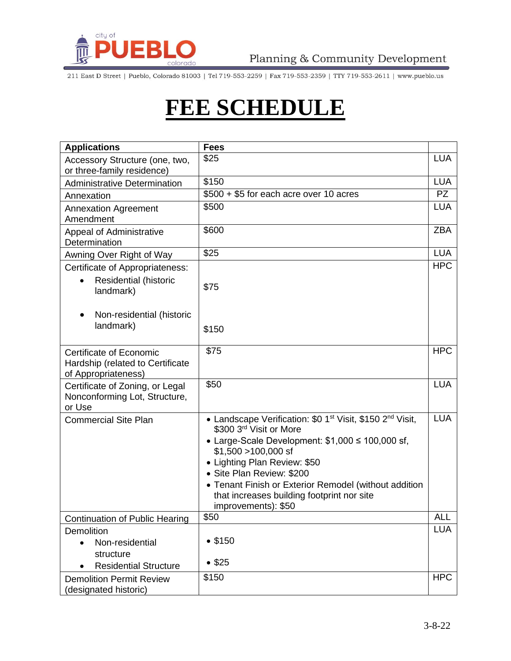

211 East D Street | Pueblo, Colorado 81003 | Tel 719-553-2259 | Fax 719-553-2359 | TTY 719-553-2611 | www.pueblo.us

## **FEE SCHEDULE**

| <b>Applications</b>                                                                | <b>Fees</b>                                                                                                                                                                                                                                                                                                                                                                                      |            |
|------------------------------------------------------------------------------------|--------------------------------------------------------------------------------------------------------------------------------------------------------------------------------------------------------------------------------------------------------------------------------------------------------------------------------------------------------------------------------------------------|------------|
| Accessory Structure (one, two,<br>or three-family residence)                       | \$25                                                                                                                                                                                                                                                                                                                                                                                             | <b>LUA</b> |
| <b>Administrative Determination</b>                                                | \$150                                                                                                                                                                                                                                                                                                                                                                                            | <b>LUA</b> |
| Annexation                                                                         | \$500 + \$5 for each acre over 10 acres                                                                                                                                                                                                                                                                                                                                                          | <b>PZ</b>  |
| <b>Annexation Agreement</b><br>Amendment                                           | \$500                                                                                                                                                                                                                                                                                                                                                                                            | <b>LUA</b> |
| <b>Appeal of Administrative</b><br>Determination                                   | \$600                                                                                                                                                                                                                                                                                                                                                                                            | <b>ZBA</b> |
| Awning Over Right of Way                                                           | \$25                                                                                                                                                                                                                                                                                                                                                                                             | <b>LUA</b> |
| Certificate of Appropriateness:<br>Residential (historic<br>landmark)              | \$75                                                                                                                                                                                                                                                                                                                                                                                             | <b>HPC</b> |
| Non-residential (historic<br>landmark)                                             | \$150                                                                                                                                                                                                                                                                                                                                                                                            |            |
| Certificate of Economic<br>Hardship (related to Certificate<br>of Appropriateness) | \$75                                                                                                                                                                                                                                                                                                                                                                                             | <b>HPC</b> |
| Certificate of Zoning, or Legal<br>Nonconforming Lot, Structure,<br>or Use         | \$50                                                                                                                                                                                                                                                                                                                                                                                             | <b>LUA</b> |
| <b>Commercial Site Plan</b>                                                        | • Landscape Verification: \$0 1 <sup>st</sup> Visit, \$150 2 <sup>nd</sup> Visit,<br>\$300 3rd Visit or More<br>• Large-Scale Development: $$1,000 \le 100,000 \text{ sf}$ ,<br>$$1,500 > 100,000$ sf<br>• Lighting Plan Review: \$50<br>• Site Plan Review: \$200<br>• Tenant Finish or Exterior Remodel (without addition<br>that increases building footprint nor site<br>improvements): \$50 | <b>LUA</b> |
| <b>Continuation of Public Hearing</b>                                              | \$50                                                                                                                                                                                                                                                                                                                                                                                             | <b>ALL</b> |
| <b>Demolition</b><br>Non-residential<br>structure<br><b>Residential Structure</b>  | •\$150<br>• \$25                                                                                                                                                                                                                                                                                                                                                                                 | <b>LUA</b> |
| <b>Demolition Permit Review</b><br>(designated historic)                           | \$150                                                                                                                                                                                                                                                                                                                                                                                            | <b>HPC</b> |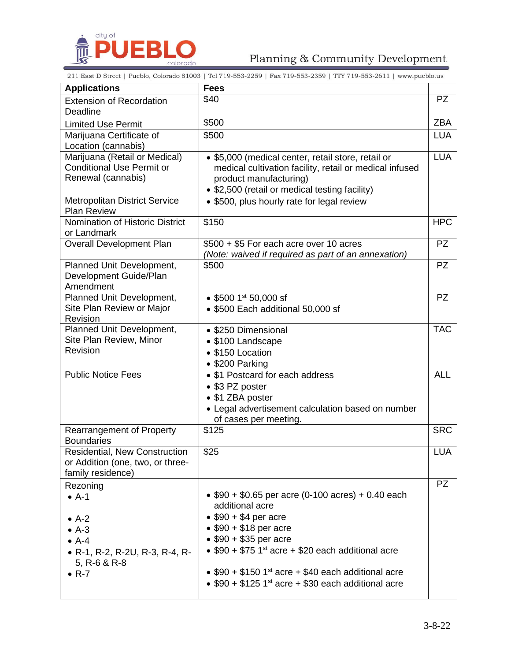

## Planning & Community Development

211 East D Street | Pueblo, Colorado 81003 | Tel 719-553-2259 | Fax 719-553-2359 | TTY 719-553-2611 | www.pueblo.us

| <b>Applications</b>                                                                           | <b>Fees</b>                                                                                                                                                                               |            |
|-----------------------------------------------------------------------------------------------|-------------------------------------------------------------------------------------------------------------------------------------------------------------------------------------------|------------|
| <b>Extension of Recordation</b>                                                               | \$40                                                                                                                                                                                      | <b>PZ</b>  |
| Deadline                                                                                      |                                                                                                                                                                                           |            |
| <b>Limited Use Permit</b>                                                                     | \$500                                                                                                                                                                                     | <b>ZBA</b> |
| Marijuana Certificate of                                                                      | \$500                                                                                                                                                                                     | <b>LUA</b> |
| Location (cannabis)                                                                           |                                                                                                                                                                                           |            |
| Marijuana (Retail or Medical)<br><b>Conditional Use Permit or</b><br>Renewal (cannabis)       | • \$5,000 (medical center, retail store, retail or<br>medical cultivation facility, retail or medical infused<br>product manufacturing)<br>• \$2,500 (retail or medical testing facility) | <b>LUA</b> |
| Metropolitan District Service<br><b>Plan Review</b>                                           | • \$500, plus hourly rate for legal review                                                                                                                                                |            |
| Nomination of Historic District<br>or Landmark                                                | \$150                                                                                                                                                                                     | <b>HPC</b> |
| <b>Overall Development Plan</b>                                                               | \$500 + \$5 For each acre over 10 acres<br>(Note: waived if required as part of an annexation)                                                                                            | <b>PZ</b>  |
| Planned Unit Development,<br>Development Guide/Plan<br>Amendment                              | \$500                                                                                                                                                                                     | <b>PZ</b>  |
| Planned Unit Development,<br>Site Plan Review or Major<br>Revision                            | • \$500 1st 50,000 sf<br>• \$500 Each additional 50,000 sf                                                                                                                                | <b>PZ</b>  |
| Planned Unit Development,<br>Site Plan Review, Minor<br>Revision                              | • \$250 Dimensional<br>• \$100 Landscape<br>• \$150 Location<br>• \$200 Parking                                                                                                           | <b>TAC</b> |
| <b>Public Notice Fees</b>                                                                     | • \$1 Postcard for each address<br>• \$3 PZ poster<br>• \$1 ZBA poster<br>• Legal advertisement calculation based on number<br>of cases per meeting.                                      | <b>ALL</b> |
| <b>Rearrangement of Property</b><br><b>Boundaries</b>                                         | \$125                                                                                                                                                                                     | <b>SRC</b> |
| <b>Residential, New Construction</b><br>or Addition (one, two, or three-<br>family residence) | \$25                                                                                                                                                                                      | <b>LUA</b> |
| Rezoning                                                                                      |                                                                                                                                                                                           | <b>PZ</b>  |
| $\bullet$ A-1                                                                                 | $$90 + $0.65$ per acre (0-100 acres) + 0.40 each<br>additional acre<br>$\bullet$ \$90 + \$4 per acre                                                                                      |            |
| $\bullet$ A-2                                                                                 | $\bullet$ \$90 + \$18 per acre                                                                                                                                                            |            |
| $\bullet$ A-3<br>$\bullet$ A-4                                                                | • $$90 + $35$ per acre                                                                                                                                                                    |            |
| • R-1, R-2, R-2U, R-3, R-4, R-<br>5, $R-6$ & $R-8$                                            | $\bullet$ \$90 + \$75 1st acre + \$20 each additional acre                                                                                                                                |            |
| $\bullet$ R-7                                                                                 | • $$90 + $150$ 1 <sup>st</sup> acre + \$40 each additional acre<br>• $$90 + $125$ 1 <sup>st</sup> acre + \$30 each additional acre                                                        |            |